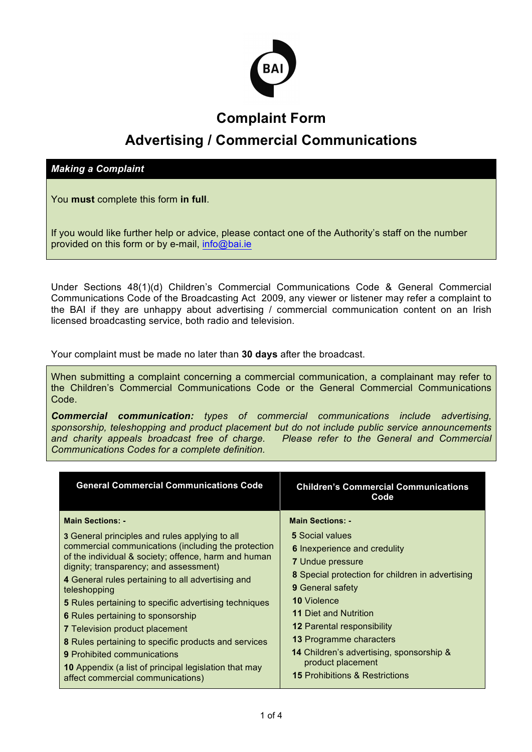

## **Complaint Form**

# **Advertising / Commercial Communications**

*Making a Complaint*

You **must** complete this form **in full**.

If you would like further help or advice, please contact one of the Authority's staff on the number provided on this form or by e-mail, info@bai.ie

Under Sections 48(1)(d) Children's Commercial Communications Code & General Commercial Communications Code of the Broadcasting Act 2009, any viewer or listener may refer a complaint to the BAI if they are unhappy about advertising / commercial communication content on an Irish licensed broadcasting service, both radio and television.

Your complaint must be made no later than **30 days** after the broadcast.

When submitting a complaint concerning a commercial communication, a complainant may refer to the Children's Commercial Communications Code or the General Commercial Communications Code.

*Commercial communication: types of commercial communications include advertising, sponsorship, teleshopping and product placement but do not include public service announcements and charity appeals broadcast free of charge. Please refer to the General and Commercial Communications Codes for a complete definition.*

| <b>General Commercial Communications Code</b>                                                                                                                                                                                                                                                                                                                                                                                                                | <b>Children's Commercial Communications</b><br>Code                                                                                                                                                                                                                                           |
|--------------------------------------------------------------------------------------------------------------------------------------------------------------------------------------------------------------------------------------------------------------------------------------------------------------------------------------------------------------------------------------------------------------------------------------------------------------|-----------------------------------------------------------------------------------------------------------------------------------------------------------------------------------------------------------------------------------------------------------------------------------------------|
| <b>Main Sections: -</b><br>3 General principles and rules applying to all<br>commercial communications (including the protection<br>of the individual & society; offence, harm and human<br>dignity; transparency; and assessment)<br>4 General rules pertaining to all advertising and<br>teleshopping<br><b>5</b> Rules pertaining to specific advertising techniques<br><b>6</b> Rules pertaining to sponsorship<br><b>7</b> Television product placement | <b>Main Sections: -</b><br><b>5</b> Social values<br><b>6</b> Inexperience and credulity<br><b>7</b> Undue pressure<br>8 Special protection for children in advertising<br><b>9</b> General safety<br><b>10 Violence</b><br><b>11 Diet and Nutrition</b><br><b>12 Parental responsibility</b> |
| 8 Rules pertaining to specific products and services<br><b>9</b> Prohibited communications<br><b>10</b> Appendix (a list of principal legislation that may<br>affect commercial communications)                                                                                                                                                                                                                                                              | <b>13 Programme characters</b><br><b>14</b> Children's advertising, sponsorship &<br>product placement<br><b>15</b> Prohibitions & Restrictions                                                                                                                                               |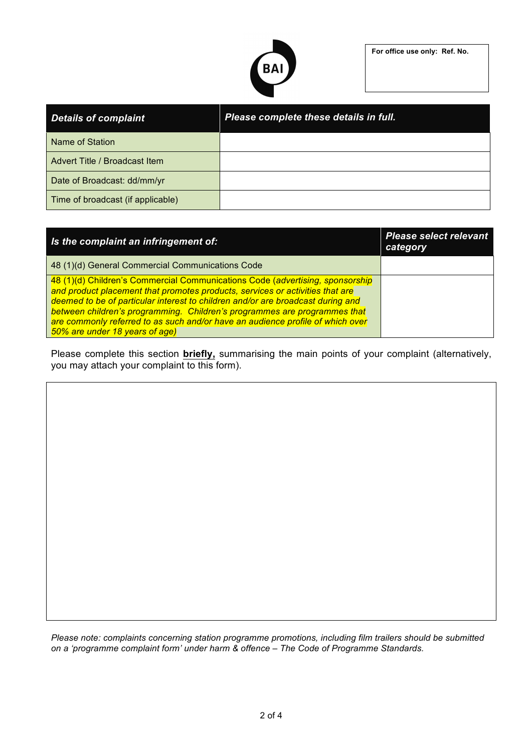

| <b>Details of complaint</b>       | Please complete these details in full. |
|-----------------------------------|----------------------------------------|
| Name of Station                   |                                        |
| Advert Title / Broadcast Item     |                                        |
| Date of Broadcast: dd/mm/yr       |                                        |
| Time of broadcast (if applicable) |                                        |

| Is the complaint an infringement of:                                                                                                                                                                                                                                                                                                                                                                                                               | <b>Please select relevant</b><br>category |
|----------------------------------------------------------------------------------------------------------------------------------------------------------------------------------------------------------------------------------------------------------------------------------------------------------------------------------------------------------------------------------------------------------------------------------------------------|-------------------------------------------|
| 48 (1)(d) General Commercial Communications Code                                                                                                                                                                                                                                                                                                                                                                                                   |                                           |
| 48 (1)(d) Children's Commercial Communications Code (advertising, sponsorship<br>and product placement that promotes products, services or activities that are<br>deemed to be of particular interest to children and/or are broadcast during and<br>between children's programming. Children's programmes are programmes that<br>are commonly referred to as such and/or have an audience profile of which over<br>50% are under 18 years of age) |                                           |

Please complete this section **briefly,** summarising the main points of your complaint (alternatively, you may attach your complaint to this form).

*Please note: complaints concerning station programme promotions, including film trailers should be submitted on a 'programme complaint form' under harm & offence – The Code of Programme Standards.*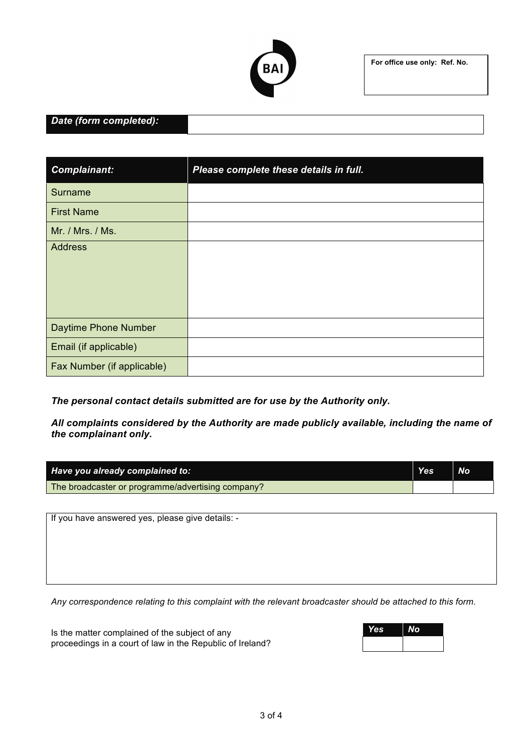

**For office use only: Ref. No.**

### *Date (form completed):*

| <b>Complainant:</b>        | Please complete these details in full. |
|----------------------------|----------------------------------------|
| Surname                    |                                        |
| <b>First Name</b>          |                                        |
| Mr. / Mrs. / Ms.           |                                        |
| Address                    |                                        |
| Daytime Phone Number       |                                        |
| Email (if applicable)      |                                        |
| Fax Number (if applicable) |                                        |

*The personal contact details submitted are for use by the Authority only.* 

*All complaints considered by the Authority are made publicly available, including the name of the complainant only.*

| Have you already complained to:                   | Yes | <b>No</b> |
|---------------------------------------------------|-----|-----------|
| The broadcaster or programme/advertising company? |     |           |

If you have answered yes, please give details: -

*Any correspondence relating to this complaint with the relevant broadcaster should be attached to this form.*

Is the matter complained of the subject of any proceedings in a court of law in the Republic of Ireland?

| <b>Yes</b> | No |
|------------|----|
|            |    |